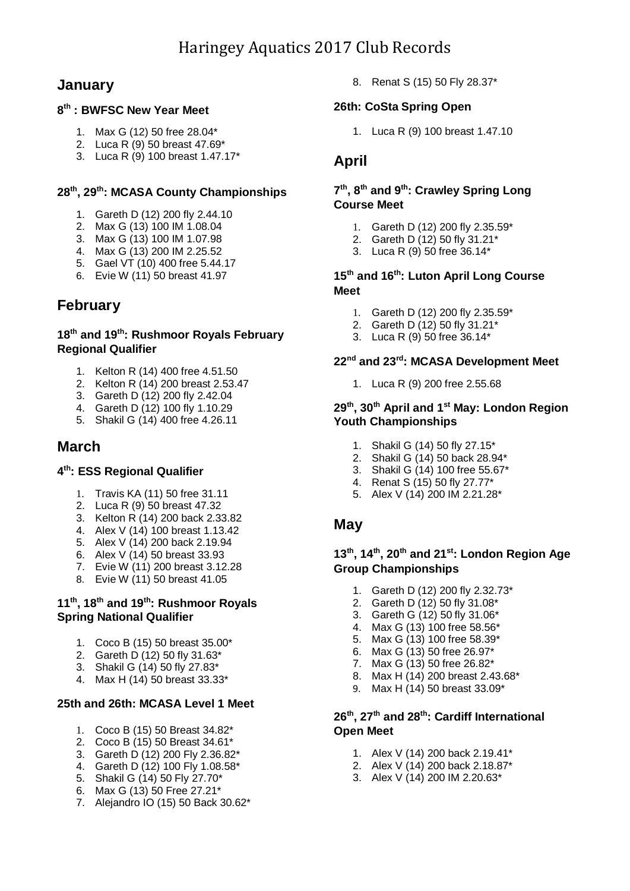## **January**

### **8 th : BWFSC New Year Meet**

- 1. Max G (12) 50 free 28.04\*
- 2. Luca R (9) 50 breast 47.69\*
- 3. Luca R (9) 100 breast 1.47.17\*

## **28th, 29th: MCASA County Championships**

- 1. Gareth D (12) 200 fly 2.44.10
- 2. Max G (13) 100 IM 1.08.04
- 3. Max G (13) 100 IM 1.07.98
- 4. Max G (13) 200 IM 2.25.52
- 5. Gael VT (10) 400 free 5.44.17
- 6. Evie W (11) 50 breast 41.97

## **February**

### **18th and 19th: Rushmoor Royals February Regional Qualifier**

- 1. Kelton R (14) 400 free 4.51.50
- 2. Kelton R (14) 200 breast 2.53.47
- 3. Gareth D (12) 200 fly 2.42.04
- 4. Gareth D (12) 100 fly 1.10.29
- 5. Shakil G (14) 400 free 4.26.11

## **March**

### **4 th: ESS Regional Qualifier**

- 1. Travis KA (11) 50 free 31.11
- 2. Luca R (9) 50 breast 47.32
- 3. Kelton R (14) 200 back 2.33.82
- 4. Alex V (14) 100 breast 1.13.42
- 5. Alex V (14) 200 back 2.19.94
- 6. Alex V (14) 50 breast 33.93
- 7. Evie W (11) 200 breast 3.12.28
- 8. Evie W (11) 50 breast 41.05

## **11th, 18th and 19th: Rushmoor Royals Spring National Qualifier**

- 1. Coco B (15) 50 breast 35.00\*
- 2. Gareth D  $(12)$  50 fly 31.63\*
- 3. Shakil G (14) 50 fly 27.83\*
- 4. Max H (14) 50 breast 33.33\*

### **25th and 26th: MCASA Level 1 Meet**

- 1. Coco B (15) 50 Breast 34.82\*
- 2. Coco B (15) 50 Breast 34.61\*
- 3. Gareth D (12) 200 Fly 2.36.82\*
- 4. Gareth D (12) 100 Fly 1.08.58\*
- 5. Shakil G (14) 50 Fly 27.70\*
- 6. Max G (13) 50 Free 27.21\*
- 7. Alejandro IO (15) 50 Back 30.62\*

8. Renat S (15) 50 Fly 28.37\*

## **26th: CoSta Spring Open**

1. Luca R (9) 100 breast 1.47.10

## **April**

## **7 th , 8 th and 9 th : Crawley Spring Long Course Meet**

- 1. Gareth D (12) 200 fly 2.35.59\*
- 2. Gareth D (12) 50 fly 31.21\*
- 3. Luca R (9) 50 free 36.14\*

#### **15th and 16 th: Luton April Long Course Meet**

- 1. Gareth D (12) 200 fly 2.35.59\*
- 2. Gareth D (12) 50 fly 31.21\*
- 3. Luca R (9) 50 free 36.14\*

### **22 nd and 23rd: MCASA Development Meet**

1. Luca R (9) 200 free 2.55.68

### **29th, 30th April and 1st May: London Region Youth Championships**

- 1. Shakil G (14) 50 fly 27.15\*
- 2. Shakil G (14) 50 back 28.94\*
- 3. Shakil G (14) 100 free 55.67\*
- 4. Renat S (15) 50 fly 27.77\*
- 5. Alex V (14) 200 IM 2.21.28\*

## **May**

## **13th, 14th, 20th and 21st: London Region Age Group Championships**

- 1. Gareth D (12) 200 fly 2.32.73\*
- 2. Gareth D (12) 50 fly 31.08\*
- 3. Gareth G (12) 50 fly 31.06\*
- 4. Max G (13) 100 free 58.56\*
- 5. Max G (13) 100 free 58.39\*
- 6. Max G (13) 50 free 26.97\*
- 7. Max G (13) 50 free 26.82\*
- 8. Max H (14) 200 breast 2.43.68\*
- 9. Max H (14) 50 breast 33.09\*

## **26th, 27th and 28th: Cardiff International Open Meet**

- 1. Alex V (14) 200 back 2.19.41\*
- 2. Alex V (14) 200 back 2.18.87\*
- 3. Alex V (14) 200 IM 2.20.63\*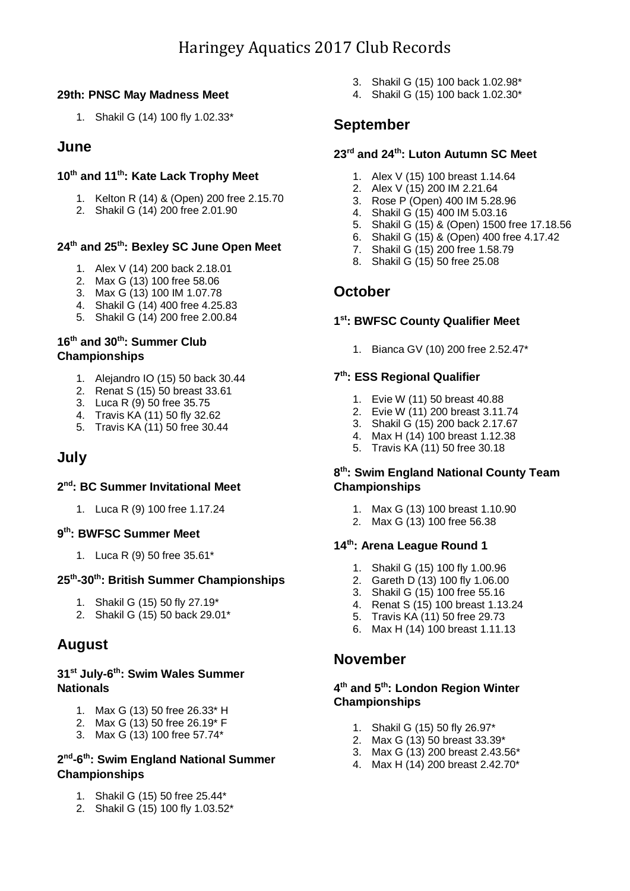## **29th: PNSC May Madness Meet**

1. Shakil G (14) 100 fly 1.02.33\*

## **June**

## **10 th and 11 th: Kate Lack Trophy Meet**

- 1. Kelton R (14) & (Open) 200 free 2.15.70
- 2. Shakil G (14) 200 free 2.01.90

## **24th and 25th: Bexley SC June Open Meet**

- 1. Alex V (14) 200 back 2.18.01
- 2. Max G (13) 100 free 58.06
- 3. Max G (13) 100 IM 1.07.78
- 4. Shakil G (14) 400 free 4.25.83
- 5. Shakil G (14) 200 free 2.00.84

## **16th and 30th: Summer Club Championships**

- 1. Alejandro IO (15) 50 back 30.44
- 2. Renat S (15) 50 breast 33.61
- 3. Luca R (9) 50 free 35.75
- 4. Travis KA (11) 50 fly 32.62
- 5. Travis KA (11) 50 free 30.44

# **July**

### **2 nd: BC Summer Invitational Meet**

1. Luca R (9) 100 free 1.17.24

## **9 th: BWFSC Summer Meet**

1. Luca R (9) 50 free 35.61\*

### **25th -30th: British Summer Championships**

- 1. Shakil G (15) 50 fly 27.19\*
- 2. Shakil G (15) 50 back 29.01\*

## **August**

### **31st July-6 th: Swim Wales Summer Nationals**

- 1. Max G (13) 50 free 26.33\* H
- 2. Max G (13) 50 free 26.19\* F
- 3. Max G (13) 100 free 57.74\*

## **2 nd -6 th: Swim England National Summer Championships**

- 1. Shakil G (15) 50 free 25.44\*
- 2. Shakil G (15) 100 fly 1.03.52\*
- 3. Shakil G (15) 100 back 1.02.98\*
- 4. Shakil G (15) 100 back 1.02.30\*

## **September**

## **23 rd and 24 th: Luton Autumn SC Meet**

- 1. Alex V (15) 100 breast 1.14.64
- 2. Alex V (15) 200 IM 2.21.64
- 3. Rose P (Open) 400 IM 5.28.96
- 4. Shakil G (15) 400 IM 5.03.16
- 5. Shakil G (15) & (Open) 1500 free 17.18.56
- 6. Shakil G (15) & (Open) 400 free 4.17.42
- 7. Shakil G (15) 200 free 1.58.79
- 8. Shakil G (15) 50 free 25.08

## **October**

## **1 st: BWFSC County Qualifier Meet**

1. Bianca GV (10) 200 free 2.52.47\*

## **7 th: ESS Regional Qualifier**

- 1. Evie W (11) 50 breast 40.88
- 2. Evie W (11) 200 breast 3.11.74
- 3. Shakil G (15) 200 back 2.17.67
- 4. Max H (14) 100 breast 1.12.38
- 5. Travis KA (11) 50 free 30.18

## **8 th: Swim England National County Team Championships**

- 1. Max G (13) 100 breast 1.10.90
- 2. Max G (13) 100 free 56.38

## **14th: Arena League Round 1**

- 1. Shakil G (15) 100 fly 1.00.96
- 2. Gareth D (13) 100 fly 1.06.00
- 3. Shakil G (15) 100 free 55.16
- 4. Renat S (15) 100 breast 1.13.24
- 5. Travis KA (11) 50 free 29.73
- 6. Max H (14) 100 breast 1.11.13

## **November**

#### **4 th and 5 th: London Region Winter Championships**

- 1. Shakil G (15) 50 fly 26.97\*
- 2. Max G (13) 50 breast 33.39\*
- 3. Max G (13) 200 breast 2.43.56\*
- 4. Max H (14) 200 breast 2.42.70\*